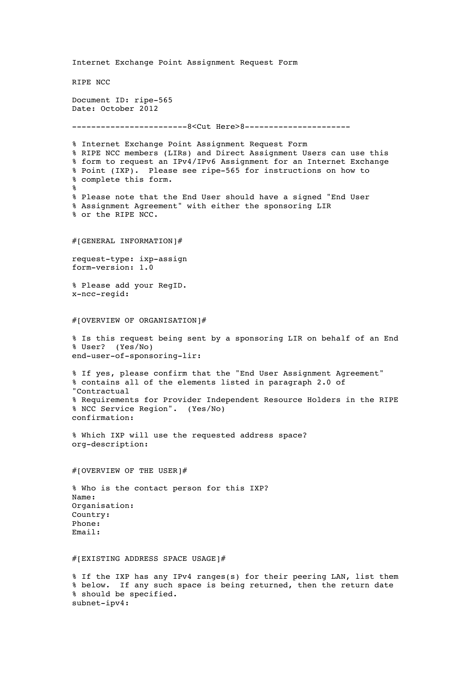Internet Exchange Point Assignment Request Form RIPE NCC Document ID: ripe-565 Date: October 2012 ------------------------8<Cut Here>8---------------------- % Internet Exchange Point Assignment Request Form % RIPE NCC members (LIRs) and Direct Assignment Users can use this % form to request an IPv4/IPv6 Assignment for an Internet Exchange % Point (IXP). Please see ripe-565 for instructions on how to % complete this form. % % Please note that the End User should have a signed "End User % Assignment Agreement" with either the sponsoring LIR % or the RIPE NCC. #[GENERAL INFORMATION]# request-type: ixp-assign form-version: 1.0 % Please add your RegID. x-ncc-regid: #[OVERVIEW OF ORGANISATION]# % Is this request being sent by a sponsoring LIR on behalf of an End % User? (Yes/No) end-user-of-sponsoring-lir: % If yes, please confirm that the "End User Assignment Agreement" % contains all of the elements listed in paragraph 2.0 of "Contractual % Requirements for Provider Independent Resource Holders in the RIPE % NCC Service Region". (Yes/No) confirmation: % Which IXP will use the requested address space? org-description: #[OVERVIEW OF THE USER]# % Who is the contact person for this IXP? Name: Organisation: Country: Phone: Email: #[EXISTING ADDRESS SPACE USAGE]# % If the IXP has any IPv4 ranges(s) for their peering LAN, list them % below. If any such space is being returned, then the return date % should be specified. subnet-ipv4: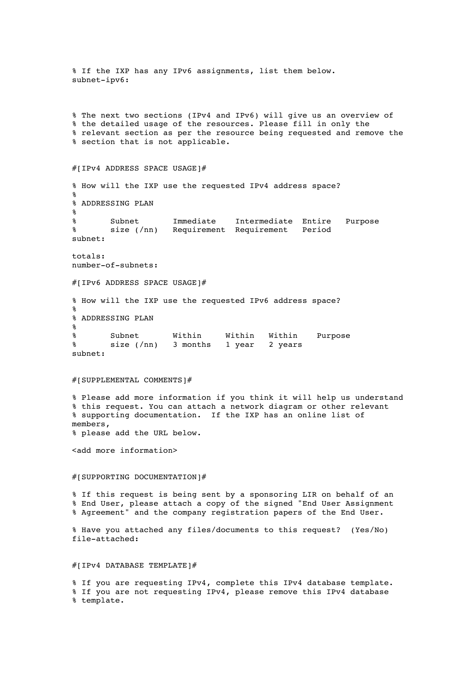% If the IXP has any IPv6 assignments, list them below. subnet-ipv6: % The next two sections (IPv4 and IPv6) will give us an overview of % the detailed usage of the resources. Please fill in only the % relevant section as per the resource being requested and remove the % section that is not applicable. #[IPv4 ADDRESS SPACE USAGE]# % How will the IXP use the requested IPv4 address space? % % ADDRESSING PLAN % % Subnet Immediate Intermediate Entire Purpose % size (/nn) Requirement Requirement Period subnet: totals: number-of-subnets: #[IPv6 ADDRESS SPACE USAGE]# % How will the IXP use the requested IPv6 address space? % % ADDRESSING PLAN % % Subnet Within Within Within Purpose % size (/nn) 3 months 1 year 2 years subnet: #[SUPPLEMENTAL COMMENTS]# % Please add more information if you think it will help us understand % this request. You can attach a network diagram or other relevant % supporting documentation. If the IXP has an online list of members, % please add the URL below. <add more information> #[SUPPORTING DOCUMENTATION]# % If this request is being sent by a sponsoring LIR on behalf of an % End User, please attach a copy of the signed "End User Assignment % Agreement" and the company registration papers of the End User. % Have you attached any files/documents to this request? (Yes/No) file-attached: #[IPv4 DATABASE TEMPLATE]# % If you are requesting IPv4, complete this IPv4 database template. % If you are not requesting IPv4, please remove this IPv4 database % template.